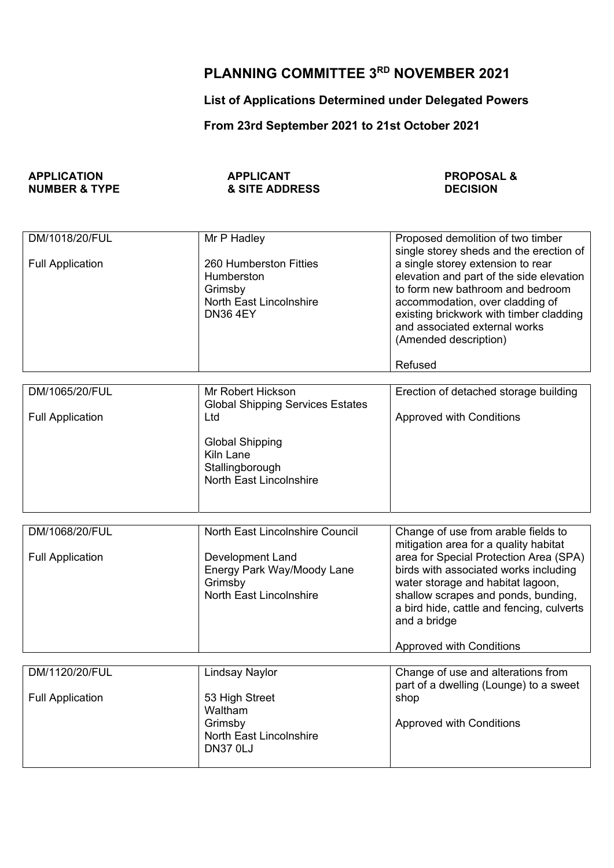## **PLANNING COMMITTEE 3RD NOVEMBER 2021**

## **List of Applications Determined under Delegated Powers**

## **From 23rd September 2021 to 21st October 2021**

| <b>APPLICATION</b>       | <b>APPLICANT</b>          | <b>PROPOSAL &amp;</b> |
|--------------------------|---------------------------|-----------------------|
| <b>NUMBER &amp; TYPE</b> | <b>&amp; SITE ADDRESS</b> | <b>DECISION</b>       |

| DM/1018/20/FUL<br><b>Full Application</b> | Mr P Hadley<br>260 Humberston Fitties<br>Humberston<br>Grimsby<br><b>North East Lincolnshire</b><br><b>DN36 4EY</b>            | Proposed demolition of two timber<br>single storey sheds and the erection of<br>a single storey extension to rear<br>elevation and part of the side elevation<br>to form new bathroom and bedroom<br>accommodation, over cladding of<br>existing brickwork with timber cladding<br>and associated external works<br>(Amended description)<br>Refused |
|-------------------------------------------|--------------------------------------------------------------------------------------------------------------------------------|------------------------------------------------------------------------------------------------------------------------------------------------------------------------------------------------------------------------------------------------------------------------------------------------------------------------------------------------------|
|                                           |                                                                                                                                |                                                                                                                                                                                                                                                                                                                                                      |
| DM/1065/20/FUL<br><b>Full Application</b> | Mr Robert Hickson<br><b>Global Shipping Services Estates</b><br>Ltd                                                            | Erection of detached storage building<br><b>Approved with Conditions</b>                                                                                                                                                                                                                                                                             |
|                                           | <b>Global Shipping</b><br>Kiln Lane<br>Stallingborough<br><b>North East Lincolnshire</b>                                       |                                                                                                                                                                                                                                                                                                                                                      |
|                                           |                                                                                                                                |                                                                                                                                                                                                                                                                                                                                                      |
| DM/1068/20/FUL<br><b>Full Application</b> | North East Lincolnshire Council<br>Development Land<br>Energy Park Way/Moody Lane<br>Grimsby<br><b>North East Lincolnshire</b> | Change of use from arable fields to<br>mitigation area for a quality habitat<br>area for Special Protection Area (SPA)<br>birds with associated works including<br>water storage and habitat lagoon,<br>shallow scrapes and ponds, bunding,<br>a bird hide, cattle and fencing, culverts<br>and a bridge<br><b>Approved with Conditions</b>          |
|                                           |                                                                                                                                |                                                                                                                                                                                                                                                                                                                                                      |
| DM/1120/20/FUL<br><b>Full Application</b> | <b>Lindsay Naylor</b><br>53 High Street<br>Waltham<br>Grimsby<br>North East Lincolnshire<br><b>DN37 0LJ</b>                    | Change of use and alterations from<br>part of a dwelling (Lounge) to a sweet<br>shop<br><b>Approved with Conditions</b>                                                                                                                                                                                                                              |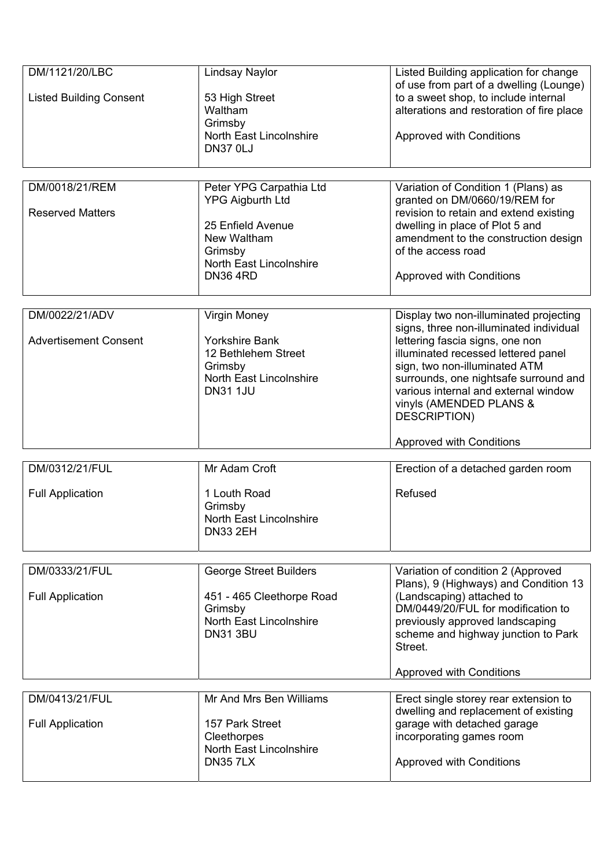| DM/1121/20/LBC                 | <b>Lindsay Naylor</b>                              | Listed Building application for change<br>of use from part of a dwelling (Lounge) |
|--------------------------------|----------------------------------------------------|-----------------------------------------------------------------------------------|
| <b>Listed Building Consent</b> | 53 High Street<br>Waltham                          | to a sweet shop, to include internal<br>alterations and restoration of fire place |
|                                | Grimsby<br>North East Lincolnshire                 |                                                                                   |
|                                | <b>DN37 0LJ</b>                                    | <b>Approved with Conditions</b>                                                   |
|                                |                                                    |                                                                                   |
| DM/0018/21/REM                 | Peter YPG Carpathia Ltd<br><b>YPG Aigburth Ltd</b> | Variation of Condition 1 (Plans) as<br>granted on DM/0660/19/REM for              |
| <b>Reserved Matters</b>        |                                                    | revision to retain and extend existing                                            |
|                                | 25 Enfield Avenue<br>New Waltham                   | dwelling in place of Plot 5 and<br>amendment to the construction design           |
|                                | Grimsby                                            | of the access road                                                                |
|                                | North East Lincolnshire<br><b>DN36 4RD</b>         | <b>Approved with Conditions</b>                                                   |
|                                |                                                    |                                                                                   |
| DM/0022/21/ADV                 | Virgin Money                                       | Display two non-illuminated projecting                                            |
| <b>Advertisement Consent</b>   | <b>Yorkshire Bank</b>                              | signs, three non-illuminated individual<br>lettering fascia signs, one non        |
|                                | 12 Bethlehem Street                                | illuminated recessed lettered panel                                               |
|                                | Grimsby<br>North East Lincolnshire                 | sign, two non-illuminated ATM<br>surrounds, one nightsafe surround and            |
|                                | <b>DN31 1JU</b>                                    | various internal and external window                                              |
|                                |                                                    | vinyls (AMENDED PLANS &<br>DESCRIPTION)                                           |
|                                |                                                    | <b>Approved with Conditions</b>                                                   |
| DM/0312/21/FUL                 | Mr Adam Croft                                      | Erection of a detached garden room                                                |
|                                |                                                    |                                                                                   |
| <b>Full Application</b>        | 1 Louth Road<br>Grimsby                            | Refused                                                                           |
|                                | <b>North East Lincolnshire</b>                     |                                                                                   |
|                                | <b>DN33 2EH</b>                                    |                                                                                   |
|                                |                                                    |                                                                                   |
| DM/0333/21/FUL                 | <b>George Street Builders</b>                      | Variation of condition 2 (Approved<br>Plans), 9 (Highways) and Condition 13       |
| <b>Full Application</b>        | 451 - 465 Cleethorpe Road                          | (Landscaping) attached to                                                         |
|                                | Grimsby<br><b>North East Lincolnshire</b>          | DM/0449/20/FUL for modification to<br>previously approved landscaping             |
|                                | <b>DN31 3BU</b>                                    | scheme and highway junction to Park                                               |
|                                |                                                    | Street.                                                                           |
|                                |                                                    | <b>Approved with Conditions</b>                                                   |
| DM/0413/21/FUL                 | Mr And Mrs Ben Williams                            | Erect single storey rear extension to                                             |
|                                |                                                    | dwelling and replacement of existing                                              |
| <b>Full Application</b>        | 157 Park Street<br>Cleethorpes                     | garage with detached garage<br>incorporating games room                           |
|                                | North East Lincolnshire                            |                                                                                   |
|                                | <b>DN357LX</b>                                     | <b>Approved with Conditions</b>                                                   |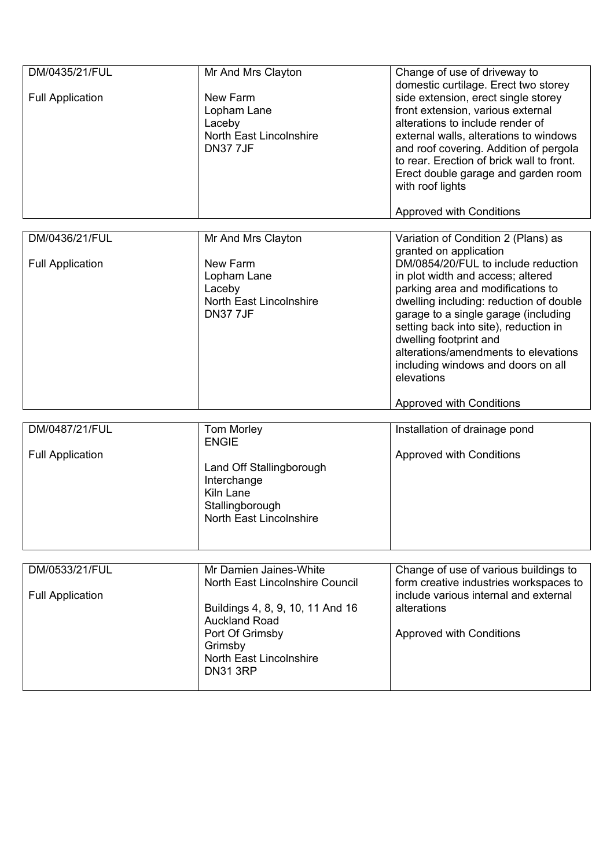| DM/0435/21/FUL<br><b>Full Application</b>                                              | Mr And Mrs Clayton<br>New Farm<br>Lopham Lane<br>Laceby<br><b>North East Lincolnshire</b><br><b>DN377JF</b>                                                                                                                                                    | Change of use of driveway to<br>domestic curtilage. Erect two storey<br>side extension, erect single storey<br>front extension, various external<br>alterations to include render of<br>external walls, alterations to windows<br>and roof covering. Addition of pergola<br>to rear. Erection of brick wall to front.<br>Erect double garage and garden room<br>with roof lights<br><b>Approved with Conditions</b>                                                                                                                     |
|----------------------------------------------------------------------------------------|----------------------------------------------------------------------------------------------------------------------------------------------------------------------------------------------------------------------------------------------------------------|-----------------------------------------------------------------------------------------------------------------------------------------------------------------------------------------------------------------------------------------------------------------------------------------------------------------------------------------------------------------------------------------------------------------------------------------------------------------------------------------------------------------------------------------|
| DM/0436/21/FUL<br><b>Full Application</b><br>DM/0487/21/FUL<br><b>Full Application</b> | Mr And Mrs Clayton<br>New Farm<br>Lopham Lane<br>Laceby<br><b>North East Lincolnshire</b><br><b>DN37 7JF</b><br><b>Tom Morley</b><br><b>ENGIE</b><br>Land Off Stallingborough<br>Interchange<br>Kiln Lane<br>Stallingborough<br><b>North East Lincolnshire</b> | Variation of Condition 2 (Plans) as<br>granted on application<br>DM/0854/20/FUL to include reduction<br>in plot width and access; altered<br>parking area and modifications to<br>dwelling including: reduction of double<br>garage to a single garage (including<br>setting back into site), reduction in<br>dwelling footprint and<br>alterations/amendments to elevations<br>including windows and doors on all<br>elevations<br><b>Approved with Conditions</b><br>Installation of drainage pond<br><b>Approved with Conditions</b> |
| DM/0533/21/FUL<br><b>Full Application</b>                                              | Mr Damien Jaines-White<br>North East Lincolnshire Council<br>Buildings 4, 8, 9, 10, 11 And 16<br><b>Auckland Road</b><br>Port Of Grimsby<br>Grimsby<br>North East Lincolnshire<br><b>DN31 3RP</b>                                                              | Change of use of various buildings to<br>form creative industries workspaces to<br>include various internal and external<br>alterations<br><b>Approved with Conditions</b>                                                                                                                                                                                                                                                                                                                                                              |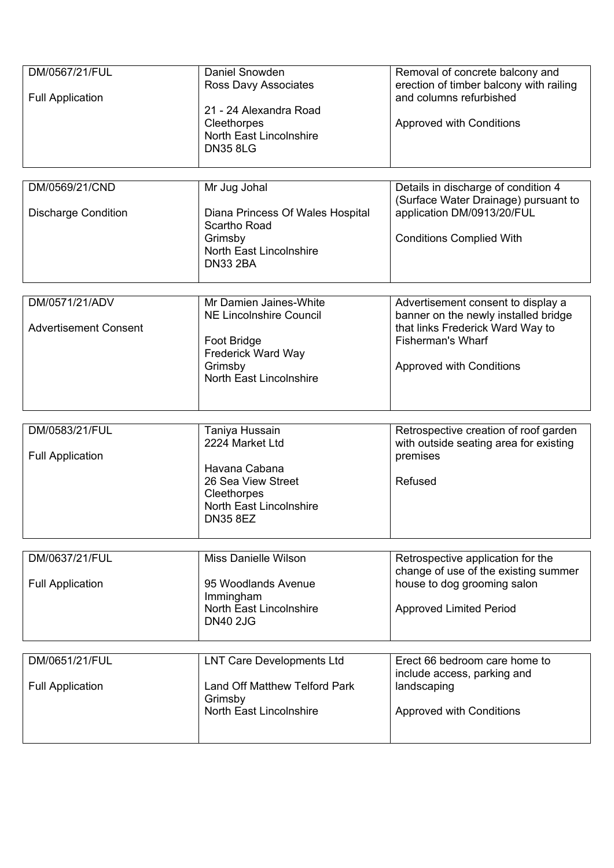| DM/0567/21/FUL<br><b>Full Application</b>      | Daniel Snowden<br>Ross Davy Associates<br>21 - 24 Alexandra Road<br>Cleethorpes<br>North East Lincolnshire<br><b>DN35 8LG</b>              | Removal of concrete balcony and<br>erection of timber balcony with railing<br>and columns refurbished<br><b>Approved with Conditions</b>                                      |
|------------------------------------------------|--------------------------------------------------------------------------------------------------------------------------------------------|-------------------------------------------------------------------------------------------------------------------------------------------------------------------------------|
| DM/0569/21/CND<br><b>Discharge Condition</b>   | Mr Jug Johal<br>Diana Princess Of Wales Hospital<br>Scartho Road<br>Grimsby<br>North East Lincolnshire<br><b>DN33 2BA</b>                  | Details in discharge of condition 4<br>(Surface Water Drainage) pursuant to<br>application DM/0913/20/FUL<br><b>Conditions Complied With</b>                                  |
| DM/0571/21/ADV<br><b>Advertisement Consent</b> | Mr Damien Jaines-White<br><b>NE Lincolnshire Council</b><br>Foot Bridge<br>Frederick Ward Way<br>Grimsby<br><b>North East Lincolnshire</b> | Advertisement consent to display a<br>banner on the newly installed bridge<br>that links Frederick Ward Way to<br><b>Fisherman's Wharf</b><br><b>Approved with Conditions</b> |
| DM/0583/21/FUL<br><b>Full Application</b>      | Taniya Hussain<br>2224 Market Ltd<br>Havana Cabana<br>26 Sea View Street<br>Cleethorpes<br>North East Lincolnshire<br><b>DN35 8EZ</b>      | Retrospective creation of roof garden<br>with outside seating area for existing<br>premises<br>Refused                                                                        |
| DM/0637/21/FUL<br><b>Full Application</b>      | <b>Miss Danielle Wilson</b><br>95 Woodlands Avenue<br>Immingham<br>North East Lincolnshire<br><b>DN40 2JG</b>                              | Retrospective application for the<br>change of use of the existing summer<br>house to dog grooming salon<br><b>Approved Limited Period</b>                                    |
| DM/0651/21/FUL<br><b>Full Application</b>      | <b>LNT Care Developments Ltd</b><br><b>Land Off Matthew Telford Park</b><br>Grimsby<br><b>North East Lincolnshire</b>                      | Erect 66 bedroom care home to<br>include access, parking and<br>landscaping<br><b>Approved with Conditions</b>                                                                |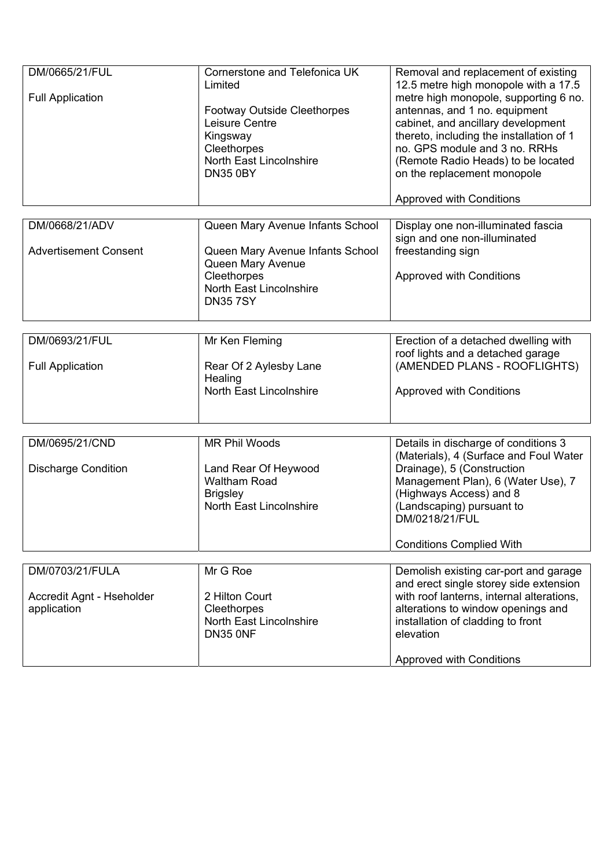| DM/0665/21/FUL<br><b>Full Application</b>      | Cornerstone and Telefonica UK<br>Limited<br><b>Footway Outside Cleethorpes</b><br>Leisure Centre<br>Kingsway<br>Cleethorpes<br>North East Lincolnshire<br><b>DN35 0BY</b> | Removal and replacement of existing<br>12.5 metre high monopole with a 17.5<br>metre high monopole, supporting 6 no.<br>antennas, and 1 no. equipment<br>cabinet, and ancillary development<br>thereto, including the installation of 1<br>no. GPS module and 3 no. RRHs<br>(Remote Radio Heads) to be located<br>on the replacement monopole |
|------------------------------------------------|---------------------------------------------------------------------------------------------------------------------------------------------------------------------------|-----------------------------------------------------------------------------------------------------------------------------------------------------------------------------------------------------------------------------------------------------------------------------------------------------------------------------------------------|
|                                                |                                                                                                                                                                           | <b>Approved with Conditions</b>                                                                                                                                                                                                                                                                                                               |
| DM/0668/21/ADV<br><b>Advertisement Consent</b> | Queen Mary Avenue Infants School<br>Queen Mary Avenue Infants School<br>Queen Mary Avenue<br>Cleethorpes<br>North East Lincolnshire<br><b>DN357SY</b>                     | Display one non-illuminated fascia<br>sign and one non-illuminated<br>freestanding sign<br><b>Approved with Conditions</b>                                                                                                                                                                                                                    |
| DM/0693/21/FUL                                 | Mr Ken Fleming                                                                                                                                                            | Erection of a detached dwelling with                                                                                                                                                                                                                                                                                                          |
| <b>Full Application</b>                        | Rear Of 2 Aylesby Lane<br>Healing<br>North East Lincolnshire                                                                                                              | roof lights and a detached garage<br>(AMENDED PLANS - ROOFLIGHTS)<br><b>Approved with Conditions</b>                                                                                                                                                                                                                                          |
|                                                |                                                                                                                                                                           |                                                                                                                                                                                                                                                                                                                                               |
| DM/0695/21/CND<br><b>Discharge Condition</b>   | <b>MR Phil Woods</b><br>Land Rear Of Heywood<br><b>Waltham Road</b><br><b>Brigsley</b><br>North East Lincolnshire                                                         | Details in discharge of conditions 3<br>(Materials), 4 (Surface and Foul Water<br>Drainage), 5 (Construction<br>Management Plan), 6 (Water Use), 7<br>(Highways Access) and 8<br>(Landscaping) pursuant to<br>DM/0218/21/FUL<br><b>Conditions Complied With</b>                                                                               |
| DM/0703/21/FULA                                | Mr G Roe                                                                                                                                                                  | Demolish existing car-port and garage                                                                                                                                                                                                                                                                                                         |
| Accredit Agnt - Hseholder<br>application       | 2 Hilton Court<br>Cleethorpes<br><b>North East Lincolnshire</b><br>DN35 ONF                                                                                               | and erect single storey side extension<br>with roof lanterns, internal alterations,<br>alterations to window openings and<br>installation of cladding to front<br>elevation<br><b>Approved with Conditions</b>                                                                                                                                |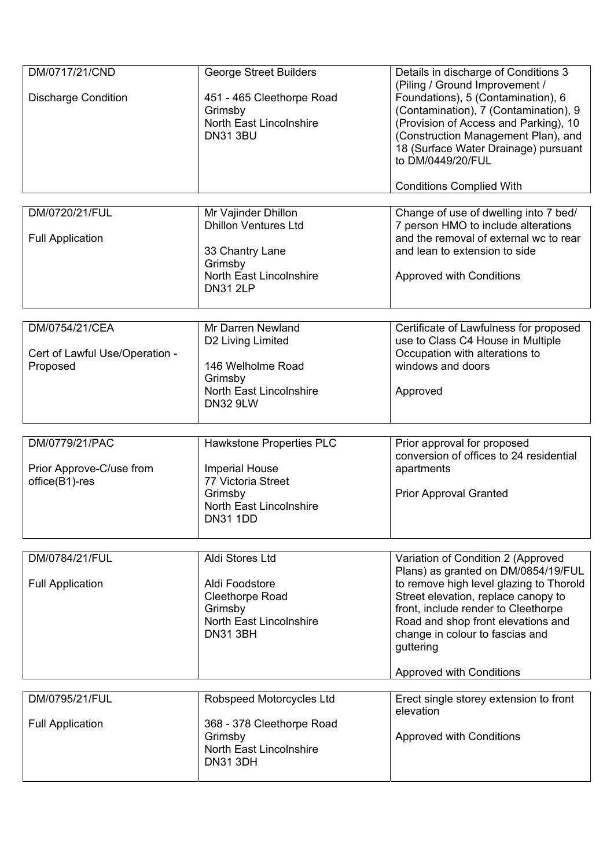| DM/0717/21/CND<br><b>Discharge Condition</b>                 | <b>George Street Builders</b><br>451 - 465 Cleethorpe Road<br>Grimsby<br>North East Lincolnshire<br><b>DN31 3BU</b>              | Details in discharge of Conditions 3<br>(Piling / Ground Improvement /<br>Foundations), 5 (Contamination), 6<br>(Contamination), 7 (Contamination), 9<br>(Provision of Access and Parking), 10<br>(Construction Management Plan), and<br>18 (Surface Water Drainage) pursuant<br>to DM/0449/20/FUL<br><b>Conditions Complied With</b> |
|--------------------------------------------------------------|----------------------------------------------------------------------------------------------------------------------------------|---------------------------------------------------------------------------------------------------------------------------------------------------------------------------------------------------------------------------------------------------------------------------------------------------------------------------------------|
| DM/0720/21/FUL<br><b>Full Application</b>                    | Mr Vajinder Dhillon<br><b>Dhillon Ventures Ltd</b><br>33 Chantry Lane<br>Grimsby<br>North East Lincolnshire<br><b>DN31 2LP</b>   | Change of use of dwelling into 7 bed/<br>7 person HMO to include alterations<br>and the removal of external wc to rear<br>and lean to extension to side<br><b>Approved with Conditions</b>                                                                                                                                            |
| DM/0754/21/CEA<br>Cert of Lawful Use/Operation -<br>Proposed | Mr Darren Newland<br>D2 Living Limited<br>146 Welholme Road<br>Grimsby<br>North East Lincolnshire<br><b>DN32 9LW</b>             | Certificate of Lawfulness for proposed<br>use to Class C4 House in Multiple<br>Occupation with alterations to<br>windows and doors<br>Approved                                                                                                                                                                                        |
| DM/0779/21/PAC<br>Prior Approve-C/use from<br>office(B1)-res | Hawkstone Properties PLC<br><b>Imperial House</b><br>77 Victoria Street<br>Grimsby<br>North East Lincolnshire<br><b>DN31 1DD</b> | Prior approval for proposed<br>conversion of offices to 24 residential<br>apartments<br><b>Prior Approval Granted</b>                                                                                                                                                                                                                 |
| DM/0784/21/FUL<br><b>Full Application</b>                    | Aldi Stores Ltd<br>Aldi Foodstore<br>Cleethorpe Road<br>Grimsby<br>North East Lincolnshire<br><b>DN31 3BH</b>                    | Variation of Condition 2 (Approved<br>Plans) as granted on DM/0854/19/FUL<br>to remove high level glazing to Thorold<br>Street elevation, replace canopy to<br>front, include render to Cleethorpe<br>Road and shop front elevations and<br>change in colour to fascias and<br>guttering<br><b>Approved with Conditions</b>           |
| DM/0795/21/FUL<br><b>Full Application</b>                    | Robspeed Motorcycles Ltd<br>368 - 378 Cleethorpe Road<br>Grimsby<br>North East Lincolnshire<br><b>DN31 3DH</b>                   | Erect single storey extension to front<br>elevation<br>Approved with Conditions                                                                                                                                                                                                                                                       |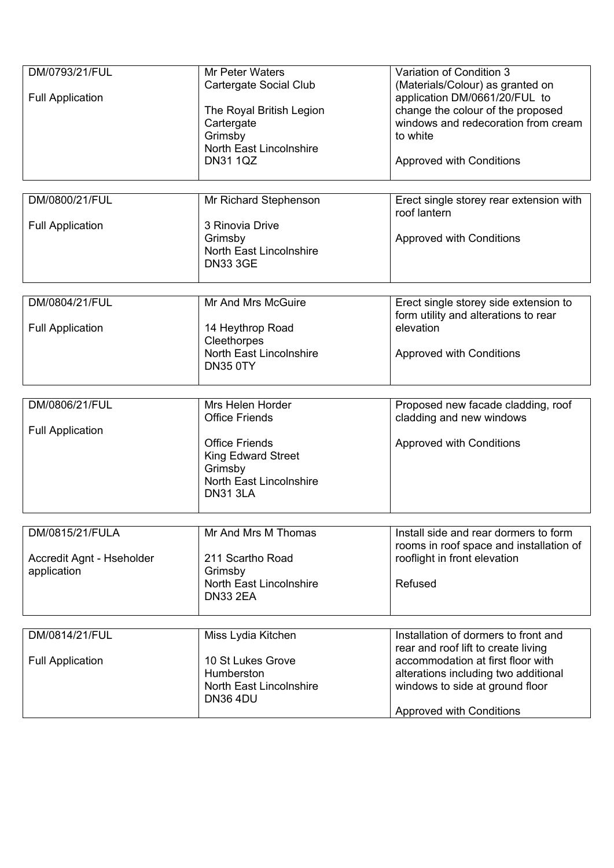| DM/0793/21/FUL<br><b>Full Application</b>                   | Mr Peter Waters<br>Cartergate Social Club<br>The Royal British Legion<br>Cartergate<br>Grimsby<br>North East Lincolnshire<br><b>DN31 1QZ</b>             | Variation of Condition 3<br>(Materials/Colour) as granted on<br>application DM/0661/20/FUL to<br>change the colour of the proposed<br>windows and redecoration from cream<br>to white<br><b>Approved with Conditions</b>       |
|-------------------------------------------------------------|----------------------------------------------------------------------------------------------------------------------------------------------------------|--------------------------------------------------------------------------------------------------------------------------------------------------------------------------------------------------------------------------------|
| DM/0800/21/FUL<br><b>Full Application</b>                   | Mr Richard Stephenson<br>3 Rinovia Drive<br>Grimsby<br>North East Lincolnshire<br><b>DN33 3GE</b>                                                        | Erect single storey rear extension with<br>roof lantern<br><b>Approved with Conditions</b>                                                                                                                                     |
| DM/0804/21/FUL<br><b>Full Application</b>                   | Mr And Mrs McGuire<br>14 Heythrop Road<br>Cleethorpes<br>North East Lincolnshire<br><b>DN35 0TY</b>                                                      | Erect single storey side extension to<br>form utility and alterations to rear<br>elevation<br><b>Approved with Conditions</b>                                                                                                  |
| DM/0806/21/FUL<br><b>Full Application</b>                   | Mrs Helen Horder<br><b>Office Friends</b><br><b>Office Friends</b><br><b>King Edward Street</b><br>Grimsby<br>North East Lincolnshire<br><b>DN31 3LA</b> | Proposed new facade cladding, roof<br>cladding and new windows<br><b>Approved with Conditions</b>                                                                                                                              |
| DM/0815/21/FULA<br>Accredit Agnt - Hseholder<br>application | Mr And Mrs M Thomas<br>211 Scartho Road<br>Grimsby<br>North East Lincolnshire<br><b>DN33 2EA</b>                                                         | Install side and rear dormers to form<br>rooms in roof space and installation of<br>rooflight in front elevation<br>Refused                                                                                                    |
| DM/0814/21/FUL<br><b>Full Application</b>                   | Miss Lydia Kitchen<br>10 St Lukes Grove<br>Humberston<br>North East Lincolnshire<br><b>DN36 4DU</b>                                                      | Installation of dormers to front and<br>rear and roof lift to create living<br>accommodation at first floor with<br>alterations including two additional<br>windows to side at ground floor<br><b>Approved with Conditions</b> |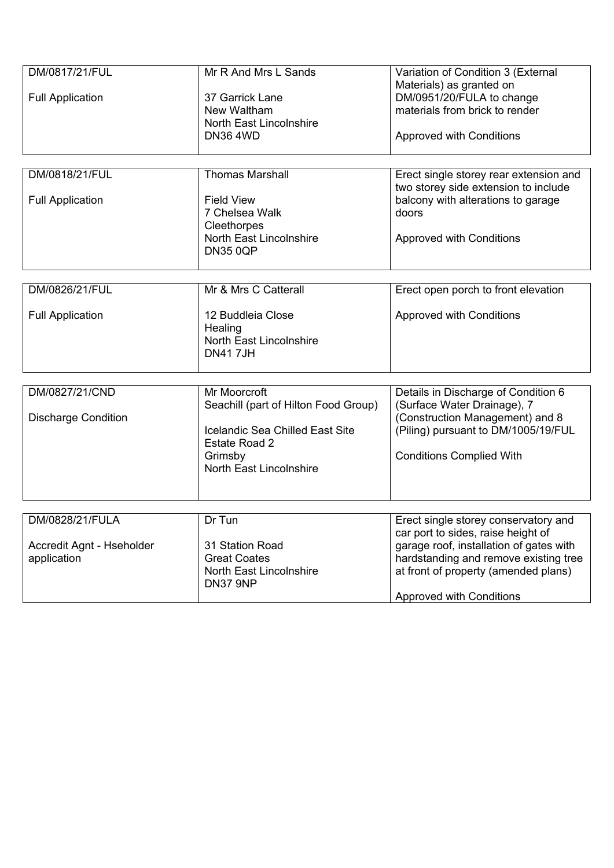| DM/0817/21/FUL             | Mr R And Mrs L Sands                 | Variation of Condition 3 (External                                             |
|----------------------------|--------------------------------------|--------------------------------------------------------------------------------|
| <b>Full Application</b>    | 37 Garrick Lane                      | Materials) as granted on<br>DM/0951/20/FULA to change                          |
|                            | New Waltham                          | materials from brick to render                                                 |
|                            | North East Lincolnshire              |                                                                                |
|                            | <b>DN36 4WD</b>                      | <b>Approved with Conditions</b>                                                |
|                            |                                      |                                                                                |
| DM/0818/21/FUL             | <b>Thomas Marshall</b>               | Erect single storey rear extension and<br>two storey side extension to include |
| <b>Full Application</b>    | <b>Field View</b>                    | balcony with alterations to garage                                             |
|                            | 7 Chelsea Walk                       | doors                                                                          |
|                            | Cleethorpes                          |                                                                                |
|                            | North East Lincolnshire              | <b>Approved with Conditions</b>                                                |
|                            | <b>DN35 0QP</b>                      |                                                                                |
|                            |                                      |                                                                                |
| DM/0826/21/FUL             | Mr & Mrs C Catterall                 | Erect open porch to front elevation                                            |
| <b>Full Application</b>    | 12 Buddleia Close                    | <b>Approved with Conditions</b>                                                |
|                            | Healing                              |                                                                                |
|                            | North East Lincolnshire              |                                                                                |
|                            | <b>DN417JH</b>                       |                                                                                |
|                            | Mr Moorcroft                         |                                                                                |
| DM/0827/21/CND             | Seachill (part of Hilton Food Group) | Details in Discharge of Condition 6<br>(Surface Water Drainage), 7             |
| <b>Discharge Condition</b> |                                      | (Construction Management) and 8                                                |
|                            | Icelandic Sea Chilled East Site      | (Piling) pursuant to DM/1005/19/FUL                                            |
|                            | Estate Road 2                        |                                                                                |
|                            | Grimsby                              | <b>Conditions Complied With</b>                                                |
|                            | <b>North East Lincolnshire</b>       |                                                                                |
|                            |                                      |                                                                                |
|                            |                                      |                                                                                |
| DM/0828/21/FULA            | Dr Tun                               | Erect single storey conservatory and<br>car port to sides, raise height of     |
| Accredit Agnt - Hseholder  | 31 Station Road                      | garage roof, installation of gates with                                        |
| application                | <b>Great Coates</b>                  | hardstanding and remove existing tree                                          |
|                            | North East Lincolnshire              | at front of property (amended plans)                                           |
|                            | DN37 9NP                             |                                                                                |
|                            |                                      | <b>Approved with Conditions</b>                                                |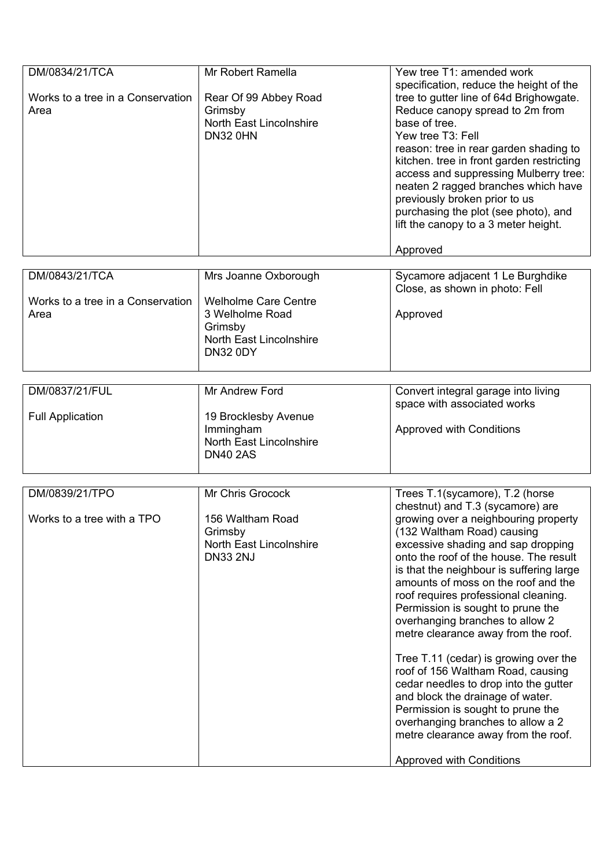| DM/0834/21/TCA<br>Works to a tree in a Conservation<br>Area | Mr Robert Ramella<br>Rear Of 99 Abbey Road<br>Grimsby<br>North East Lincolnshire<br><b>DN32 0HN</b>     | Yew tree T1: amended work<br>specification, reduce the height of the<br>tree to gutter line of 64d Brighowgate.<br>Reduce canopy spread to 2m from<br>base of tree.<br>Yew tree T3: Fell<br>reason: tree in rear garden shading to<br>kitchen. tree in front garden restricting<br>access and suppressing Mulberry tree:<br>neaten 2 ragged branches which have<br>previously broken prior to us<br>purchasing the plot (see photo), and<br>lift the canopy to a 3 meter height.<br>Approved                                                                                                                                                                                                                                                    |
|-------------------------------------------------------------|---------------------------------------------------------------------------------------------------------|-------------------------------------------------------------------------------------------------------------------------------------------------------------------------------------------------------------------------------------------------------------------------------------------------------------------------------------------------------------------------------------------------------------------------------------------------------------------------------------------------------------------------------------------------------------------------------------------------------------------------------------------------------------------------------------------------------------------------------------------------|
| DM/0843/21/TCA                                              | Mrs Joanne Oxborough                                                                                    | Sycamore adjacent 1 Le Burghdike                                                                                                                                                                                                                                                                                                                                                                                                                                                                                                                                                                                                                                                                                                                |
| Works to a tree in a Conservation<br>Area                   | <b>Welholme Care Centre</b><br>3 Welholme Road<br>Grimsby<br>North East Lincolnshire<br><b>DN32 0DY</b> | Close, as shown in photo: Fell<br>Approved                                                                                                                                                                                                                                                                                                                                                                                                                                                                                                                                                                                                                                                                                                      |
| DM/0837/21/FUL                                              | Mr Andrew Ford                                                                                          | Convert integral garage into living                                                                                                                                                                                                                                                                                                                                                                                                                                                                                                                                                                                                                                                                                                             |
| <b>Full Application</b>                                     | 19 Brocklesby Avenue<br>Immingham<br>North East Lincolnshire<br><b>DN40 2AS</b>                         | space with associated works<br><b>Approved with Conditions</b>                                                                                                                                                                                                                                                                                                                                                                                                                                                                                                                                                                                                                                                                                  |
| DM/0839/21/TPO                                              | Mr Chris Grocock                                                                                        | Trees T.1(sycamore), T.2 (horse                                                                                                                                                                                                                                                                                                                                                                                                                                                                                                                                                                                                                                                                                                                 |
| Works to a tree with a TPO                                  | 156 Waltham Road<br>Grimsby<br>North East Lincolnshire<br><b>DN33 2NJ</b>                               | chestnut) and T.3 (sycamore) are<br>growing over a neighbouring property<br>(132 Waltham Road) causing<br>excessive shading and sap dropping<br>onto the roof of the house. The result<br>is that the neighbour is suffering large<br>amounts of moss on the roof and the<br>roof requires professional cleaning.<br>Permission is sought to prune the<br>overhanging branches to allow 2<br>metre clearance away from the roof.<br>Tree T.11 (cedar) is growing over the<br>roof of 156 Waltham Road, causing<br>cedar needles to drop into the gutter<br>and block the drainage of water.<br>Permission is sought to prune the<br>overhanging branches to allow a 2<br>metre clearance away from the roof.<br><b>Approved with Conditions</b> |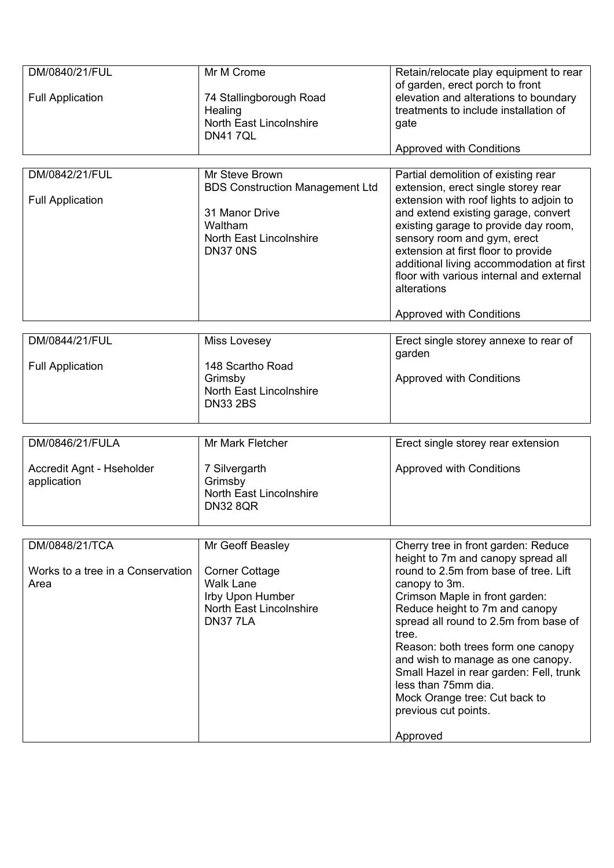| DM/0840/21/FUL<br><b>Full Application</b> | Mr M Crome<br>74 Stallingborough Road<br>Healing<br><b>North East Lincolnshire</b><br><b>DN417QL</b>                                | Retain/relocate play equipment to rear<br>of garden, erect porch to front<br>elevation and alterations to boundary<br>treatments to include installation of<br>gate<br><b>Approved with Conditions</b>                                                                                                                                                                                                                               |
|-------------------------------------------|-------------------------------------------------------------------------------------------------------------------------------------|--------------------------------------------------------------------------------------------------------------------------------------------------------------------------------------------------------------------------------------------------------------------------------------------------------------------------------------------------------------------------------------------------------------------------------------|
|                                           |                                                                                                                                     |                                                                                                                                                                                                                                                                                                                                                                                                                                      |
| DM/0842/21/FUL<br><b>Full Application</b> | Mr Steve Brown<br><b>BDS Construction Management Ltd</b><br>31 Manor Drive<br>Waltham<br><b>North East Lincolnshire</b><br>DN37 0NS | Partial demolition of existing rear<br>extension, erect single storey rear<br>extension with roof lights to adjoin to<br>and extend existing garage, convert<br>existing garage to provide day room,<br>sensory room and gym, erect<br>extension at first floor to provide<br>additional living accommodation at first<br>floor with various internal and external<br>alterations<br><b>Approved with Conditions</b>                 |
|                                           |                                                                                                                                     |                                                                                                                                                                                                                                                                                                                                                                                                                                      |
| DM/0844/21/FUL<br><b>Full Application</b> | Miss Lovesey<br>148 Scartho Road<br>Grimsby<br><b>North East Lincolnshire</b><br><b>DN33 2BS</b>                                    | Erect single storey annexe to rear of<br>garden<br><b>Approved with Conditions</b>                                                                                                                                                                                                                                                                                                                                                   |
|                                           |                                                                                                                                     |                                                                                                                                                                                                                                                                                                                                                                                                                                      |
| DM/0846/21/FULA                           | Mr Mark Fletcher                                                                                                                    | Erect single storey rear extension                                                                                                                                                                                                                                                                                                                                                                                                   |
| Accredit Agnt - Hseholder<br>application  | 7 Silvergarth<br>Grimsby<br><b>North East Lincolnshire</b><br><b>DN32 8QR</b>                                                       | <b>Approved with Conditions</b>                                                                                                                                                                                                                                                                                                                                                                                                      |
| DM/0848/21/TCA                            | Mr Geoff Beasley                                                                                                                    | Cherry tree in front garden: Reduce                                                                                                                                                                                                                                                                                                                                                                                                  |
| Works to a tree in a Conservation<br>Area | <b>Corner Cottage</b><br><b>Walk Lane</b><br>Irby Upon Humber<br><b>North East Lincolnshire</b><br>DN377LA                          | height to 7m and canopy spread all<br>round to 2.5m from base of tree. Lift<br>canopy to 3m.<br>Crimson Maple in front garden:<br>Reduce height to 7m and canopy<br>spread all round to 2.5m from base of<br>tree.<br>Reason: both trees form one canopy<br>and wish to manage as one canopy.<br>Small Hazel in rear garden: Fell, trunk<br>less than 75mm dia.<br>Mock Orange tree: Cut back to<br>previous cut points.<br>Approved |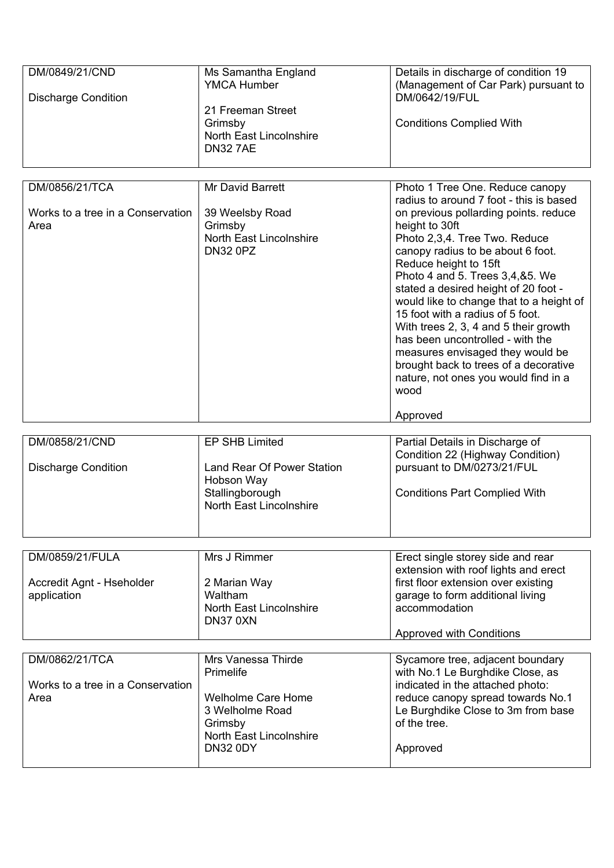| DM/0849/21/CND<br><b>Discharge Condition</b>                | Ms Samantha England<br><b>YMCA Humber</b><br>21 Freeman Street<br>Grimsby<br><b>North East Lincolnshire</b><br><b>DN327AE</b>                   | Details in discharge of condition 19<br>(Management of Car Park) pursuant to<br>DM/0642/19/FUL<br><b>Conditions Complied With</b>                                                                                                                                                                                                                                                                                                                                                                                                                                                  |
|-------------------------------------------------------------|-------------------------------------------------------------------------------------------------------------------------------------------------|------------------------------------------------------------------------------------------------------------------------------------------------------------------------------------------------------------------------------------------------------------------------------------------------------------------------------------------------------------------------------------------------------------------------------------------------------------------------------------------------------------------------------------------------------------------------------------|
| DM/0856/21/TCA                                              | <b>Mr David Barrett</b>                                                                                                                         | Photo 1 Tree One. Reduce canopy                                                                                                                                                                                                                                                                                                                                                                                                                                                                                                                                                    |
| Works to a tree in a Conservation<br>Area                   | 39 Weelsby Road<br>Grimsby<br>North East Lincolnshire<br><b>DN32 0PZ</b>                                                                        | radius to around 7 foot - this is based<br>on previous pollarding points. reduce<br>height to 30ft<br>Photo 2,3,4. Tree Two. Reduce<br>canopy radius to be about 6 foot.<br>Reduce height to 15ft<br>Photo 4 and 5. Trees 3,4,&5. We<br>stated a desired height of 20 foot -<br>would like to change that to a height of<br>15 foot with a radius of 5 foot.<br>With trees 2, 3, 4 and 5 their growth<br>has been uncontrolled - with the<br>measures envisaged they would be<br>brought back to trees of a decorative<br>nature, not ones you would find in a<br>wood<br>Approved |
| DM/0858/21/CND                                              | EP SHB Limited                                                                                                                                  | Partial Details in Discharge of                                                                                                                                                                                                                                                                                                                                                                                                                                                                                                                                                    |
| <b>Discharge Condition</b>                                  | Land Rear Of Power Station<br>Hobson Way<br>Stallingborough<br>North East Lincolnshire                                                          | Condition 22 (Highway Condition)<br>pursuant to DM/0273/21/FUL<br><b>Conditions Part Complied With</b>                                                                                                                                                                                                                                                                                                                                                                                                                                                                             |
| DM/0859/21/FULA                                             | Mrs J Rimmer                                                                                                                                    | Erect single storey side and rear                                                                                                                                                                                                                                                                                                                                                                                                                                                                                                                                                  |
| Accredit Agnt - Hseholder<br>application                    | 2 Marian Way<br>Waltham<br><b>North East Lincolnshire</b><br>DN37 0XN                                                                           | extension with roof lights and erect<br>first floor extension over existing<br>garage to form additional living<br>accommodation                                                                                                                                                                                                                                                                                                                                                                                                                                                   |
|                                                             |                                                                                                                                                 | <b>Approved with Conditions</b>                                                                                                                                                                                                                                                                                                                                                                                                                                                                                                                                                    |
| DM/0862/21/TCA<br>Works to a tree in a Conservation<br>Area | Mrs Vanessa Thirde<br>Primelife<br><b>Welholme Care Home</b><br>3 Welholme Road<br>Grimsby<br><b>North East Lincolnshire</b><br><b>DN32 0DY</b> | Sycamore tree, adjacent boundary<br>with No.1 Le Burghdike Close, as<br>indicated in the attached photo:<br>reduce canopy spread towards No.1<br>Le Burghdike Close to 3m from base<br>of the tree.<br>Approved                                                                                                                                                                                                                                                                                                                                                                    |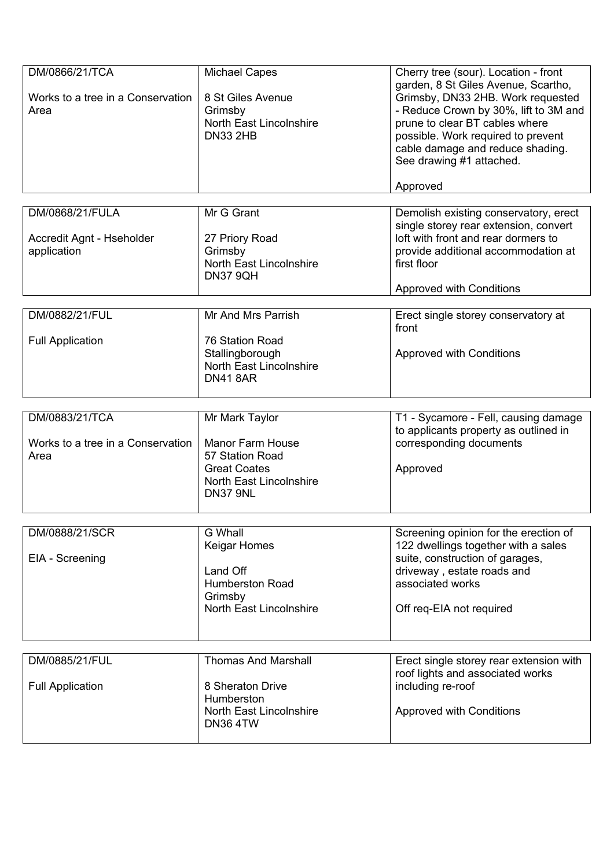| DM/0866/21/TCA<br>Works to a tree in a Conservation<br>Area | <b>Michael Capes</b><br>8 St Giles Avenue<br>Grimsby<br>North East Lincolnshire<br><b>DN33 2HB</b>                         | Cherry tree (sour). Location - front<br>garden, 8 St Giles Avenue, Scartho,<br>Grimsby, DN33 2HB. Work requested<br>- Reduce Crown by 30%, lift to 3M and<br>prune to clear BT cables where<br>possible. Work required to prevent<br>cable damage and reduce shading.<br>See drawing #1 attached.<br>Approved |
|-------------------------------------------------------------|----------------------------------------------------------------------------------------------------------------------------|---------------------------------------------------------------------------------------------------------------------------------------------------------------------------------------------------------------------------------------------------------------------------------------------------------------|
|                                                             |                                                                                                                            |                                                                                                                                                                                                                                                                                                               |
| DM/0868/21/FULA<br>Accredit Agnt - Hseholder<br>application | Mr G Grant<br>27 Priory Road<br>Grimsby<br>North East Lincolnshire<br><b>DN37 9QH</b>                                      | Demolish existing conservatory, erect<br>single storey rear extension, convert<br>loft with front and rear dormers to<br>provide additional accommodation at<br>first floor<br><b>Approved with Conditions</b>                                                                                                |
|                                                             |                                                                                                                            |                                                                                                                                                                                                                                                                                                               |
| DM/0882/21/FUL<br><b>Full Application</b>                   | Mr And Mrs Parrish<br>76 Station Road<br>Stallingborough<br>North East Lincolnshire<br><b>DN41 8AR</b>                     | Erect single storey conservatory at<br>front<br><b>Approved with Conditions</b>                                                                                                                                                                                                                               |
|                                                             |                                                                                                                            |                                                                                                                                                                                                                                                                                                               |
| DM/0883/21/TCA<br>Works to a tree in a Conservation<br>Area | Mr Mark Taylor<br><b>Manor Farm House</b><br>57 Station Road<br><b>Great Coates</b><br>North East Lincolnshire<br>DN37 9NL | T1 - Sycamore - Fell, causing damage<br>to applicants property as outlined in<br>corresponding documents<br>Approved                                                                                                                                                                                          |
|                                                             |                                                                                                                            |                                                                                                                                                                                                                                                                                                               |
| DM/0888/21/SCR<br>EIA - Screening                           | G Whall<br>Keigar Homes<br>Land Off<br><b>Humberston Road</b><br>Grimsby<br>North East Lincolnshire                        | Screening opinion for the erection of<br>122 dwellings together with a sales<br>suite, construction of garages,<br>driveway, estate roads and<br>associated works<br>Off req-EIA not required                                                                                                                 |
|                                                             |                                                                                                                            |                                                                                                                                                                                                                                                                                                               |
| DM/0885/21/FUL<br><b>Full Application</b>                   | <b>Thomas And Marshall</b><br>8 Sheraton Drive<br>Humberston<br>North East Lincolnshire<br><b>DN36 4TW</b>                 | Erect single storey rear extension with<br>roof lights and associated works<br>including re-roof<br><b>Approved with Conditions</b>                                                                                                                                                                           |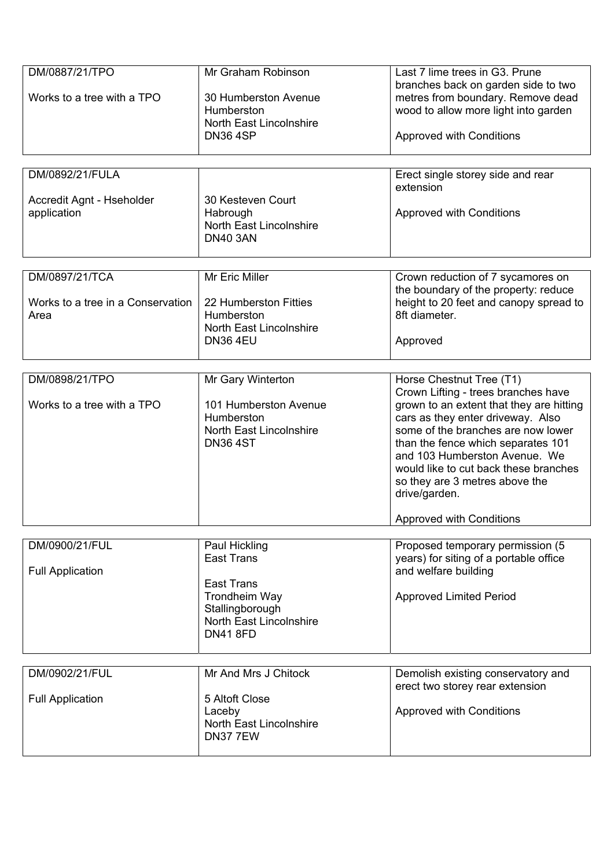| DM/0887/21/TPO<br>Works to a tree with a TPO<br>DM/0892/21/FULA | Mr Graham Robinson<br>30 Humberston Avenue<br>Humberston<br>North East Lincolnshire<br><b>DN36 4SP</b>                                    | Last 7 lime trees in G3. Prune<br>branches back on garden side to two<br>metres from boundary. Remove dead<br>wood to allow more light into garden<br><b>Approved with Conditions</b><br>Erect single storey side and rear                                                                                                                                                                   |
|-----------------------------------------------------------------|-------------------------------------------------------------------------------------------------------------------------------------------|----------------------------------------------------------------------------------------------------------------------------------------------------------------------------------------------------------------------------------------------------------------------------------------------------------------------------------------------------------------------------------------------|
| Accredit Agnt - Hseholder<br>application                        | 30 Kesteven Court<br>Habrough<br>North East Lincolnshire<br><b>DN40 3AN</b>                                                               | extension<br><b>Approved with Conditions</b>                                                                                                                                                                                                                                                                                                                                                 |
| DM/0897/21/TCA<br>Works to a tree in a Conservation<br>Area     | Mr Eric Miller<br>22 Humberston Fitties<br>Humberston<br>North East Lincolnshire<br><b>DN36 4EU</b>                                       | Crown reduction of 7 sycamores on<br>the boundary of the property: reduce<br>height to 20 feet and canopy spread to<br>8ft diameter.<br>Approved                                                                                                                                                                                                                                             |
| DM/0898/21/TPO<br>Works to a tree with a TPO                    | Mr Gary Winterton<br>101 Humberston Avenue<br>Humberston<br>North East Lincolnshire<br><b>DN36 4ST</b>                                    | Horse Chestnut Tree (T1)<br>Crown Lifting - trees branches have<br>grown to an extent that they are hitting<br>cars as they enter driveway. Also<br>some of the branches are now lower<br>than the fence which separates 101<br>and 103 Humberston Avenue. We<br>would like to cut back these branches<br>so they are 3 metres above the<br>drive/garden.<br><b>Approved with Conditions</b> |
| DM/0900/21/FUL<br><b>Full Application</b>                       | Paul Hickling<br><b>East Trans</b><br><b>East Trans</b><br>Trondheim Way<br>Stallingborough<br>North East Lincolnshire<br><b>DN41 8FD</b> | Proposed temporary permission (5<br>years) for siting of a portable office<br>and welfare building<br><b>Approved Limited Period</b>                                                                                                                                                                                                                                                         |
| DM/0902/21/FUL<br><b>Full Application</b>                       | Mr And Mrs J Chitock<br>5 Altoft Close<br>Laceby<br><b>North East Lincolnshire</b><br>DN377EW                                             | Demolish existing conservatory and<br>erect two storey rear extension<br><b>Approved with Conditions</b>                                                                                                                                                                                                                                                                                     |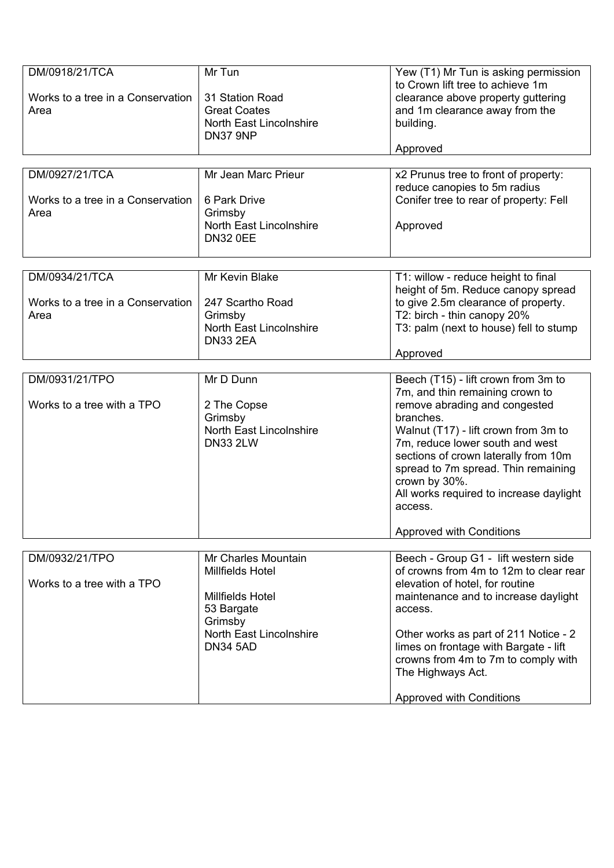| DM/0918/21/TCA                    | Mr Tun                         | Yew (T1) Mr Tun is asking permission<br>to Crown lift tree to achieve 1m |
|-----------------------------------|--------------------------------|--------------------------------------------------------------------------|
| Works to a tree in a Conservation | 31 Station Road                | clearance above property guttering                                       |
| Area                              | <b>Great Coates</b>            | and 1m clearance away from the                                           |
|                                   | <b>North East Lincolnshire</b> | building.                                                                |
|                                   | DN37 9NP                       |                                                                          |
|                                   |                                | Approved                                                                 |
|                                   |                                |                                                                          |
| DM/0927/21/TCA                    | Mr Jean Marc Prieur            | x2 Prunus tree to front of property:                                     |
|                                   |                                | reduce canopies to 5m radius                                             |
| Works to a tree in a Conservation | 6 Park Drive                   | Conifer tree to rear of property: Fell                                   |
| Area                              | Grimsby                        |                                                                          |
|                                   | North East Lincolnshire        | Approved                                                                 |
|                                   | <b>DN32 0EE</b>                |                                                                          |
|                                   |                                |                                                                          |
|                                   |                                |                                                                          |
| DM/0934/21/TCA                    | Mr Kevin Blake                 | T1: willow - reduce height to final                                      |
|                                   |                                | height of 5m. Reduce canopy spread                                       |
| Works to a tree in a Conservation | 247 Scartho Road               | to give 2.5m clearance of property.                                      |
| Area                              | Grimsby                        | T2: birch - thin canopy 20%                                              |
|                                   | North East Lincolnshire        | T3: palm (next to house) fell to stump                                   |
|                                   | <b>DN33 2EA</b>                |                                                                          |
|                                   |                                | Approved                                                                 |
|                                   |                                |                                                                          |
| DM/0931/21/TPO                    | Mr D Dunn                      | Beech (T15) - lift crown from 3m to                                      |
|                                   |                                | 7m, and thin remaining crown to                                          |
| Works to a tree with a TPO        | 2 The Copse                    | remove abrading and congested                                            |
|                                   | Grimsby                        | branches.                                                                |
|                                   | <b>North East Lincolnshire</b> | Walnut (T17) - lift crown from 3m to                                     |
|                                   | <b>DN33 2LW</b>                | 7m, reduce lower south and west                                          |
|                                   |                                | sections of crown laterally from 10m                                     |
|                                   |                                | spread to 7m spread. Thin remaining                                      |
|                                   |                                | crown by 30%.                                                            |
|                                   |                                | All works required to increase daylight                                  |
|                                   |                                | access.                                                                  |
|                                   |                                | <b>Approved with Conditions</b>                                          |
|                                   |                                |                                                                          |
| DM/0932/21/TPO                    | Mr Charles Mountain            | Beech - Group G1 - lift western side                                     |
|                                   | Millfields Hotel               | of crowns from 4m to 12m to clear rear                                   |
| Works to a tree with a TPO        |                                | elevation of hotel, for routine                                          |
|                                   | Millfields Hotel               | maintenance and to increase daylight                                     |
|                                   | 53 Bargate                     | access.                                                                  |
|                                   | Grimsby                        |                                                                          |
|                                   | <b>North East Lincolnshire</b> | Other works as part of 211 Notice - 2                                    |
|                                   | <b>DN34 5AD</b>                |                                                                          |
|                                   |                                | limes on frontage with Bargate - lift                                    |
|                                   |                                | crowns from 4m to 7m to comply with                                      |
|                                   |                                | The Highways Act.                                                        |
|                                   |                                | <b>Approved with Conditions</b>                                          |
|                                   |                                |                                                                          |